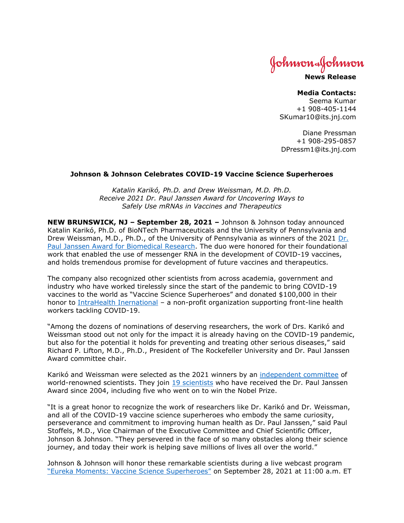Johnson&Johnson

**News Release**

## **Media Contacts:**

Seema Kumar +1 908-405-1144 SKumar10@its.jnj.com

Diane Pressman +1 908-295-0857 DPressm1@its.jnj.com

## **Johnson & Johnson Celebrates COVID-19 Vaccine Science Superheroes**

*Katalin Karikó, Ph.D. and Drew Weissman, M.D. Ph.D. Receive 2021 Dr. Paul Janssen Award for Uncovering Ways to Safely Use mRNAs in Vaccines and Therapeutics*

**NEW BRUNSWICK, NJ – September 28, 2021 –** Johnson & Johnson today announced Katalin Karikó, Ph.D. of BioNTech Pharmaceuticals and the University of Pennsylvania and Drew Weissman, M.D., Ph.D., of the University of Pennsylvania as winners of the 2021 [Dr.](http://www.pauljanssenaward.com/)  [Paul Janssen Award for Biomedical](http://www.pauljanssenaward.com/) Research. The duo were honored for their foundational work that enabled the use of messenger RNA in the development of COVID-19 vaccines, and holds tremendous promise for development of future vaccines and therapeutics.

The company also recognized other scientists from across academia, government and industry who have worked tirelessly since the start of the pandemic to bring COVID-19 vaccines to the world as "Vaccine Science Superheroes" and donated \$100,000 in their honor to [IntraHealth Inernational](https://www.intrahealth.org/) – a non-profit organization supporting front-line health workers tackling COVID-19.

"Among the dozens of nominations of deserving researchers, the work of Drs. Karikó and Weissman stood out not only for the impact it is already having on the COVID-19 pandemic, but also for the potential it holds for preventing and treating other serious diseases," said Richard P. Lifton, M.D., Ph.D., President of The Rockefeller University and Dr. Paul Janssen Award committee chair.

Karikó and Weissman were selected as the 2021 winners by an [independent committee](http://www.pauljanssenaward.com/selection-process) of world-renowned scientists. They join [19 scientists](http://www.pauljanssenaward.com/winners) who have received the Dr. Paul Janssen Award since 2004, including five who went on to win the Nobel Prize.

"It is a great honor to recognize the work of researchers like Dr. Karikó and Dr. Weissman, and all of the COVID-19 vaccine science superheroes who embody the same curiosity, perseverance and commitment to improving human health as Dr. Paul Janssen," said Paul Stoffels, M.D., Vice Chairman of the Executive Committee and Chief Scientific Officer, Johnson & Johnson. "They persevered in the face of so many obstacles along their science journey, and today their work is helping save millions of lives all over the world."

Johnson & Johnson will honor these remarkable scientists during a live webcast program ["Eureka Moments: Vaccine Science Superheroes"](https://www.linkedin.com/events/eurekamoments-vaccinesciencesup6844702225164464128/about/) on September 28, 2021 at 11:00 a.m. ET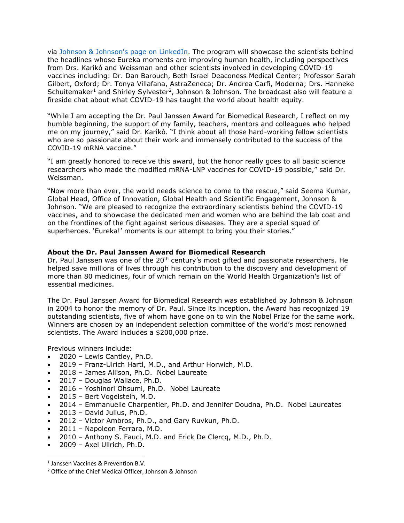via [Johnson & Johnson's page on LinkedIn.](https://www.linkedin.com/company/johnson-&-johnson/) The program will showcase the scientists behind the headlines whose Eureka moments are improving human health, including perspectives from Drs. Karikó and Weissman and other scientists involved in developing COVID-19 vaccines including: Dr. Dan Barouch, Beth Israel Deaconess Medical Center; Professor Sarah Gilbert, Oxford; Dr. Tonya Villafana, AstraZeneca; Dr. Andrea Carfi, Moderna; Drs. Hanneke Schuitemaker<sup>1</sup> and Shirley Sylvester<sup>2</sup>, Johnson & Johnson. The broadcast also will feature a fireside chat about what COVID-19 has taught the world about health equity.

"While I am accepting the Dr. Paul Janssen Award for Biomedical Research, I reflect on my humble beginning, the support of my family, teachers, mentors and colleagues who helped me on my journey," said Dr. Karikó. "I think about all those hard-working fellow scientists who are so passionate about their work and immensely contributed to the success of the COVID-19 mRNA vaccine."

"I am greatly honored to receive this award, but the honor really goes to all basic science researchers who made the modified mRNA-LNP vaccines for COVID-19 possible," said Dr. Weissman.

"Now more than ever, the world needs science to come to the rescue," said Seema Kumar, Global Head, Office of Innovation, Global Health and Scientific Engagement, Johnson & Johnson. "We are pleased to recognize the extraordinary scientists behind the COVID-19 vaccines, and to showcase the dedicated men and women who are behind the lab coat and on the frontlines of the fight against serious diseases. They are a special squad of superheroes. 'Eureka!' moments is our attempt to bring you their stories."

## **About the Dr. Paul Janssen Award for Biomedical Research**

Dr. Paul Janssen was one of the 20<sup>th</sup> century's most gifted and passionate researchers. He helped save millions of lives through his contribution to the discovery and development of more than 80 medicines, four of which remain on the World Health Organization's list of essential medicines.

The Dr. Paul Janssen Award for Biomedical Research was established by Johnson & Johnson in 2004 to honor the memory of Dr. Paul. Since its inception, the Award has recognized 19 outstanding scientists, five of whom have gone on to win the Nobel Prize for the same work. Winners are chosen by an independent selection committee of the world's most renowned scientists. The Award includes a \$200,000 prize.

Previous winners include:

- 2020 Lewis Cantley, Ph.D.
- 2019 Franz-Ulrich Hartl, M.D., and Arthur Horwich, M.D.
- 2018 James Allison, Ph.D. Nobel Laureate
- 2017 Douglas Wallace, Ph.D.
- 2016 Yoshinori Ohsumi, Ph.D. Nobel Laureate
- 2015 Bert Vogelstein, M.D.
- 2014 Emmanuelle Charpentier, Ph.D. and Jennifer Doudna, Ph.D. Nobel Laureates
- 2013 David Julius, Ph.D.
- 2012 Victor Ambros, Ph.D., and Gary Ruvkun, Ph.D.
- 2011 Napoleon Ferrara, M.D.
- 2010 Anthony S. Fauci, M.D. and Erick De Clercq, M.D., Ph.D.
- 2009 Axel Ullrich, Ph.D.

<sup>1</sup> Janssen Vaccines & Prevention B.V.

<sup>2</sup> Office of the Chief Medical Officer, Johnson & Johnson